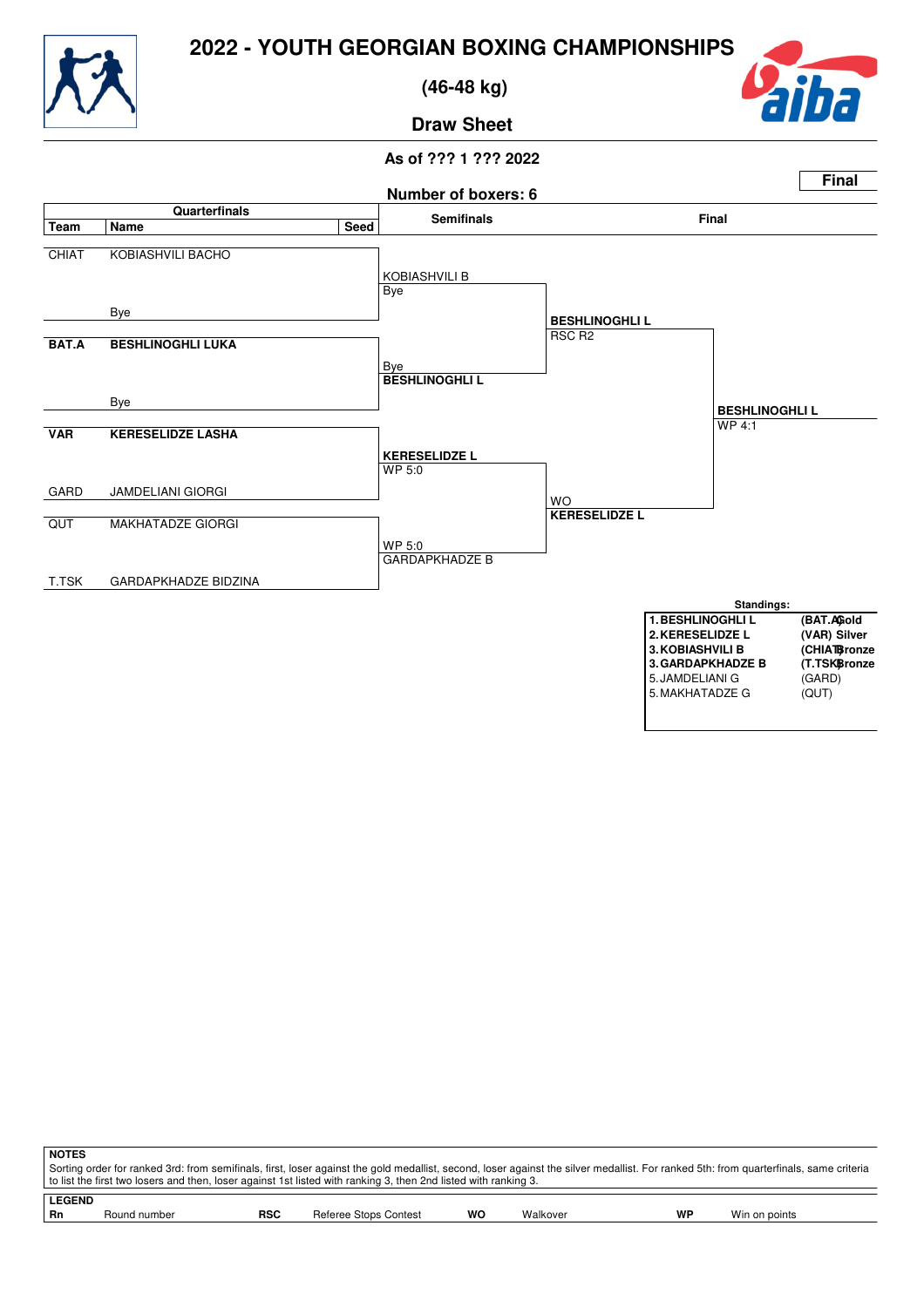



 **(46-48 kg)**



**Draw Sheet**



| <b>NOTES</b>  |              |            |                                                                                                                                                                                       |           |          |    |               |  |
|---------------|--------------|------------|---------------------------------------------------------------------------------------------------------------------------------------------------------------------------------------|-----------|----------|----|---------------|--|
|               |              |            | Sorting order for ranked 3rd: from semifinals, first, loser against the gold medallist, second, loser against the silver medallist. For ranked 5th: from quarterfinals, same criteria |           |          |    |               |  |
|               |              |            | t o list the first two losers and then, loser against 1st listed with ranking 3, then 2nd listed with ranking 3.                                                                      |           |          |    |               |  |
| <b>LEGEND</b> |              |            |                                                                                                                                                                                       |           |          |    |               |  |
|               |              |            |                                                                                                                                                                                       |           |          |    |               |  |
| Rn            | Round number | <b>RSC</b> | Referee Stops Contest                                                                                                                                                                 | <b>WO</b> | Walkover | WP | Win on points |  |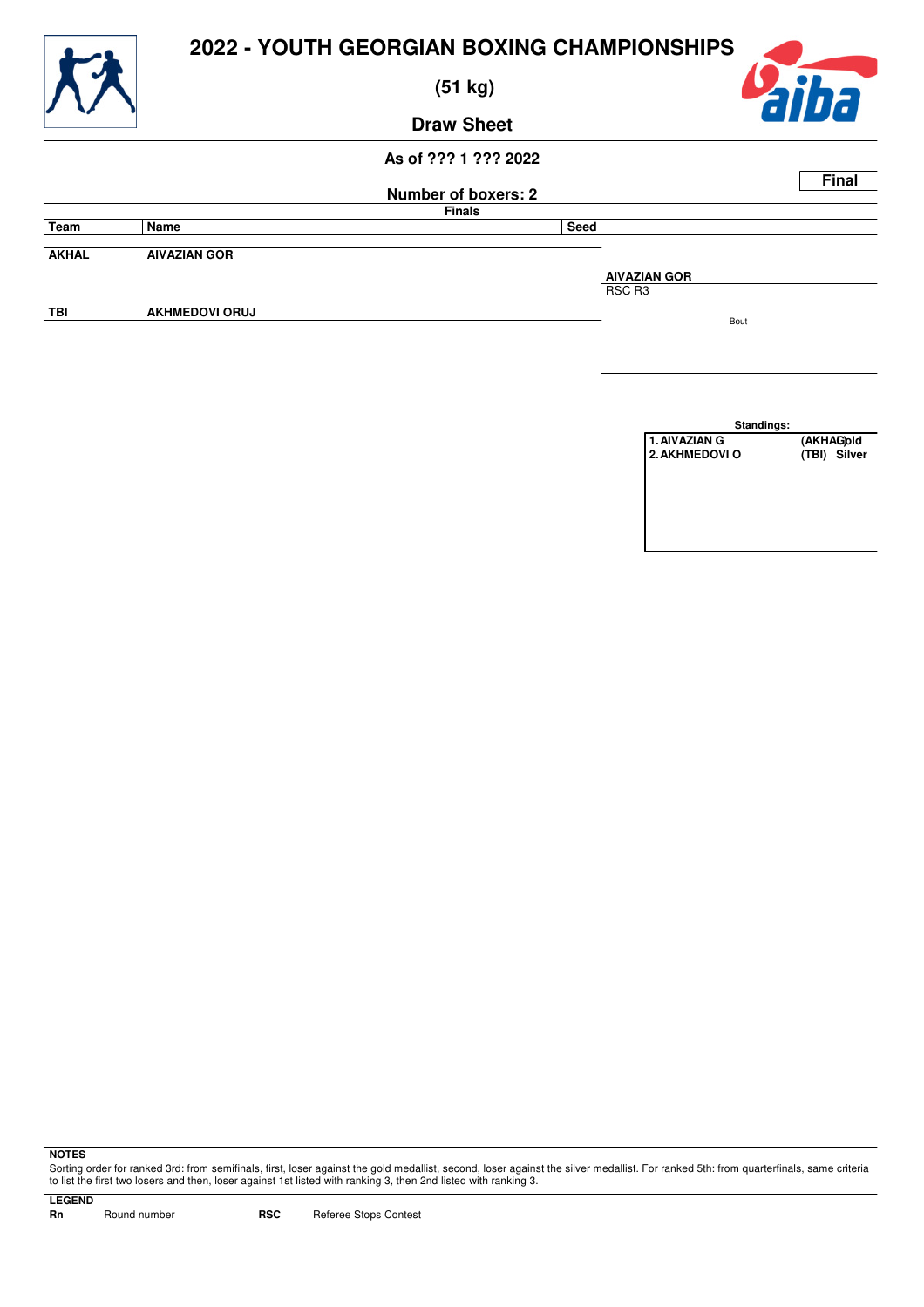

 **(51 kg)**



**Draw Sheet**

## **As of ??? 1 ??? 2022**

|              |                       |                            |      |                     | <b>Final</b> |
|--------------|-----------------------|----------------------------|------|---------------------|--------------|
|              |                       | <b>Number of boxers: 2</b> |      |                     |              |
|              |                       | <b>Finals</b>              |      |                     |              |
| Team         | Name                  |                            | Seed |                     |              |
| <b>AKHAL</b> | <b>AIVAZIAN GOR</b>   |                            |      | <b>AIVAZIAN GOR</b> |              |
|              |                       |                            |      | RSC R3              |              |
| TBI          | <b>AKHMEDOVI ORUJ</b> |                            |      | Bout                |              |
|              |                       |                            |      |                     |              |

**Standings:** 1. AIVAZIAN G (AKHAG)old<br>2. AKHMEDOVI O (TBI) Silver **2. AKHMEDOVI O** 

**NOTES**

Sorting order for ranked 3rd: from semifinals, first, loser against the gold medallist, second, loser against the silver medallist. For ranked 5th: from quarterfinals, same criteria to list the first two losers and then, loser against 1st listed with ranking 3, then 2nd listed with ranking 3.

**LEGEND**

Round number **RSC** Referee Stops Contest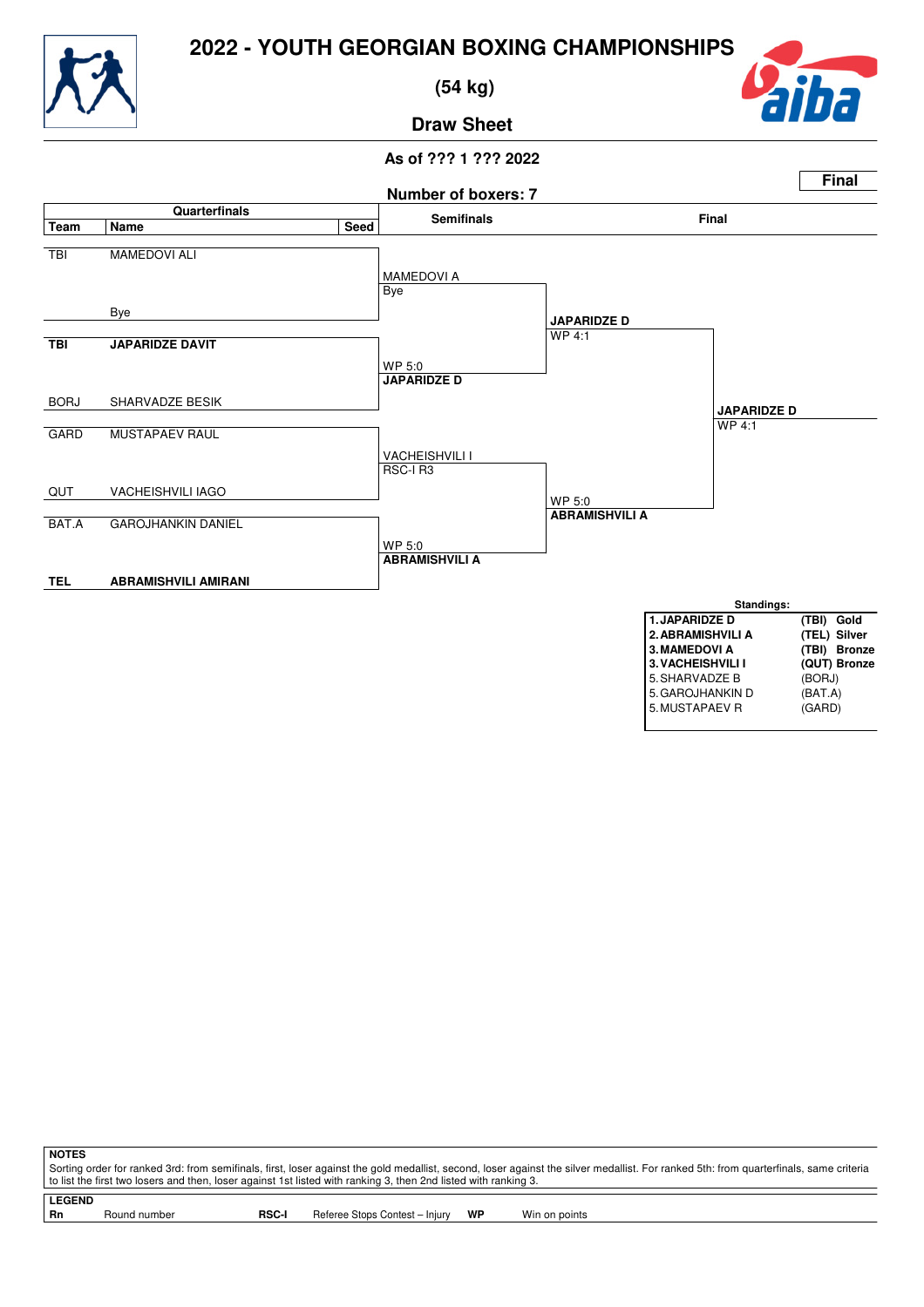

 **(54 kg)**



**Draw Sheet**

## **As of ??? 1 ??? 2022**



Sorting order for ranked 3rd: from semifinals, first, loser against the gold medallist, second, loser against the silver medallist. For ranked 5th: from quarterfinals, same criteria to list the first two losers and then, loser against 1st listed with ranking 3, then 2nd listed with ranking 3.

**NOTES**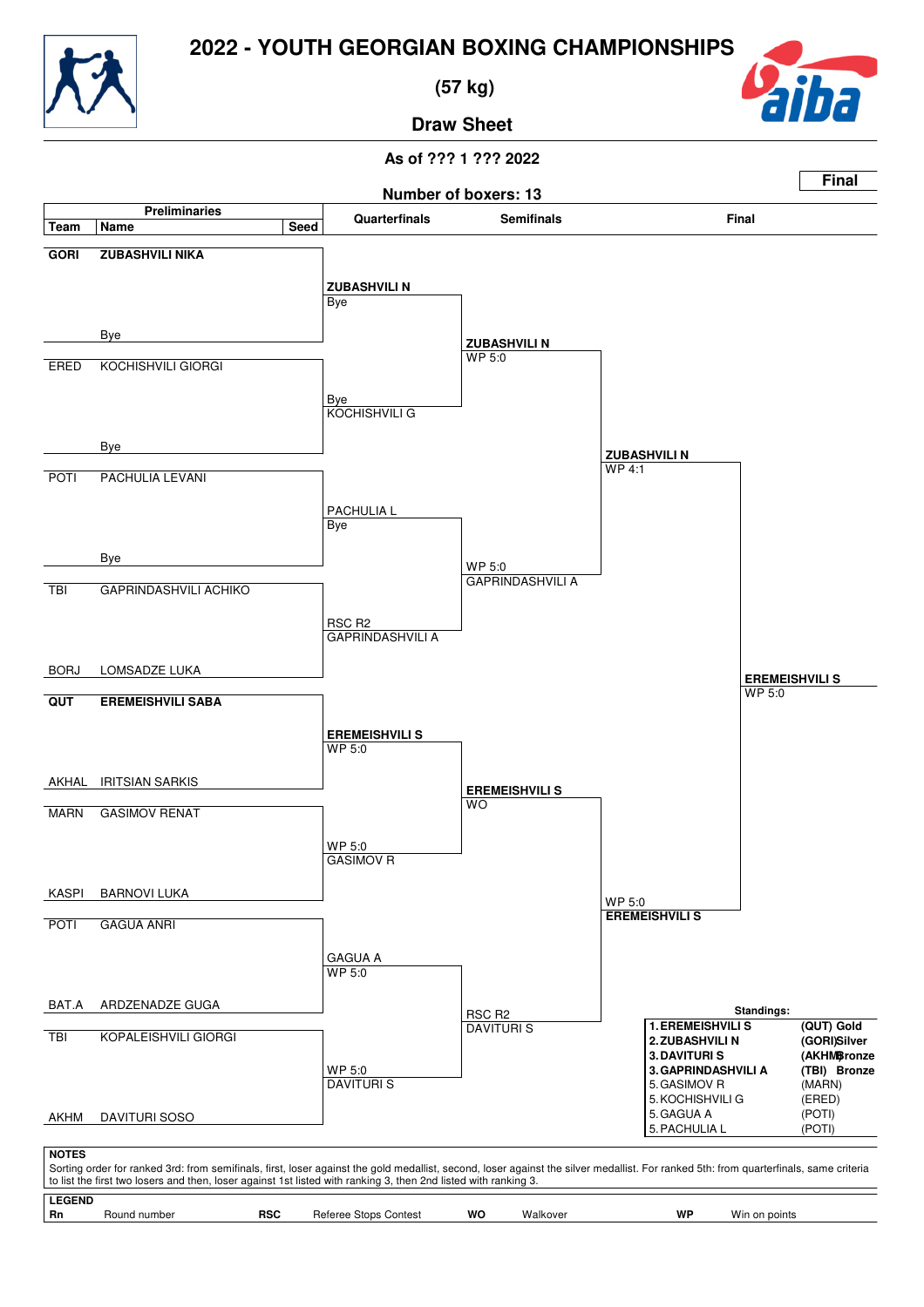

 **(57 kg)**



**Draw Sheet**

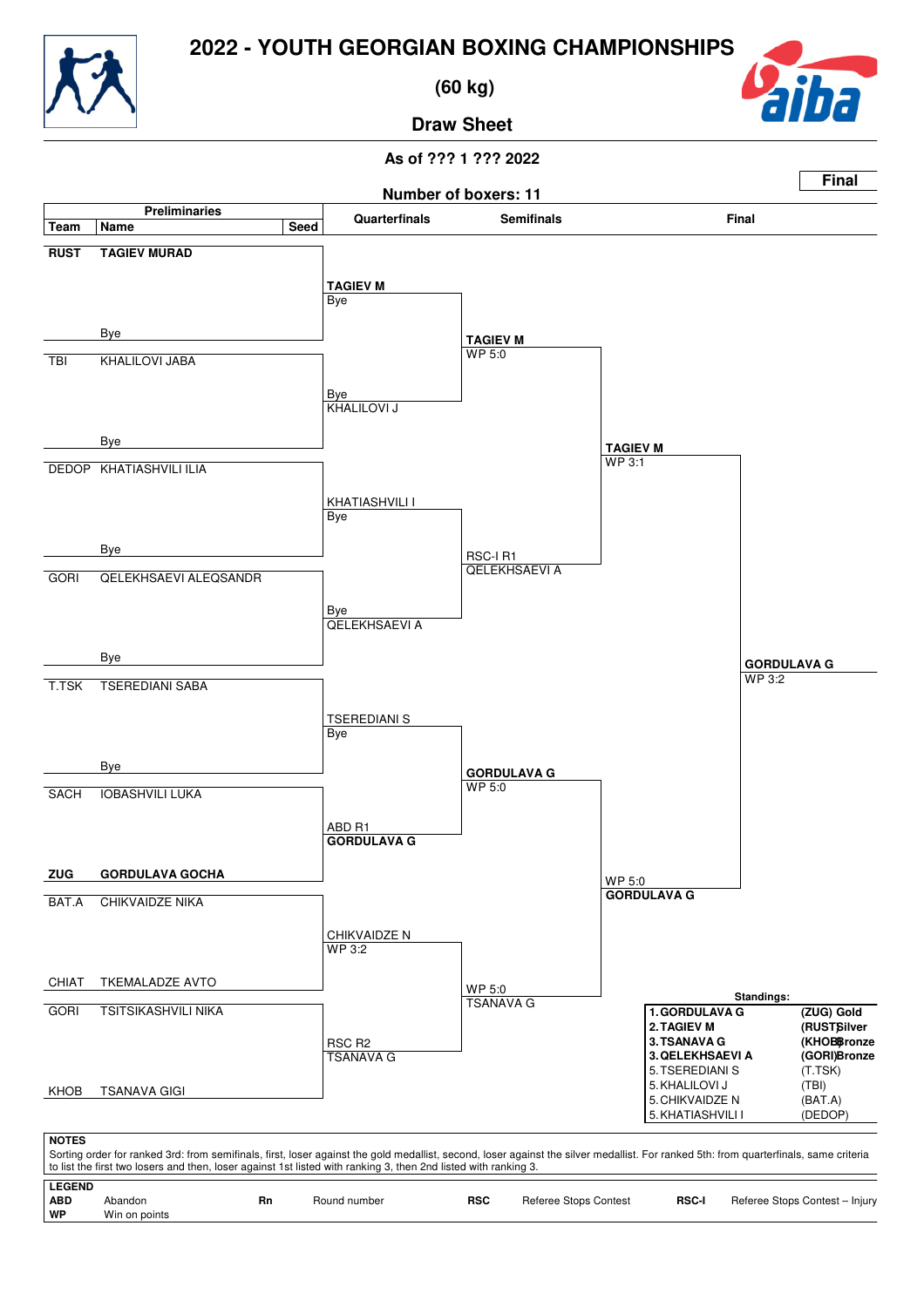

 **(60 kg)**



**Draw Sheet**

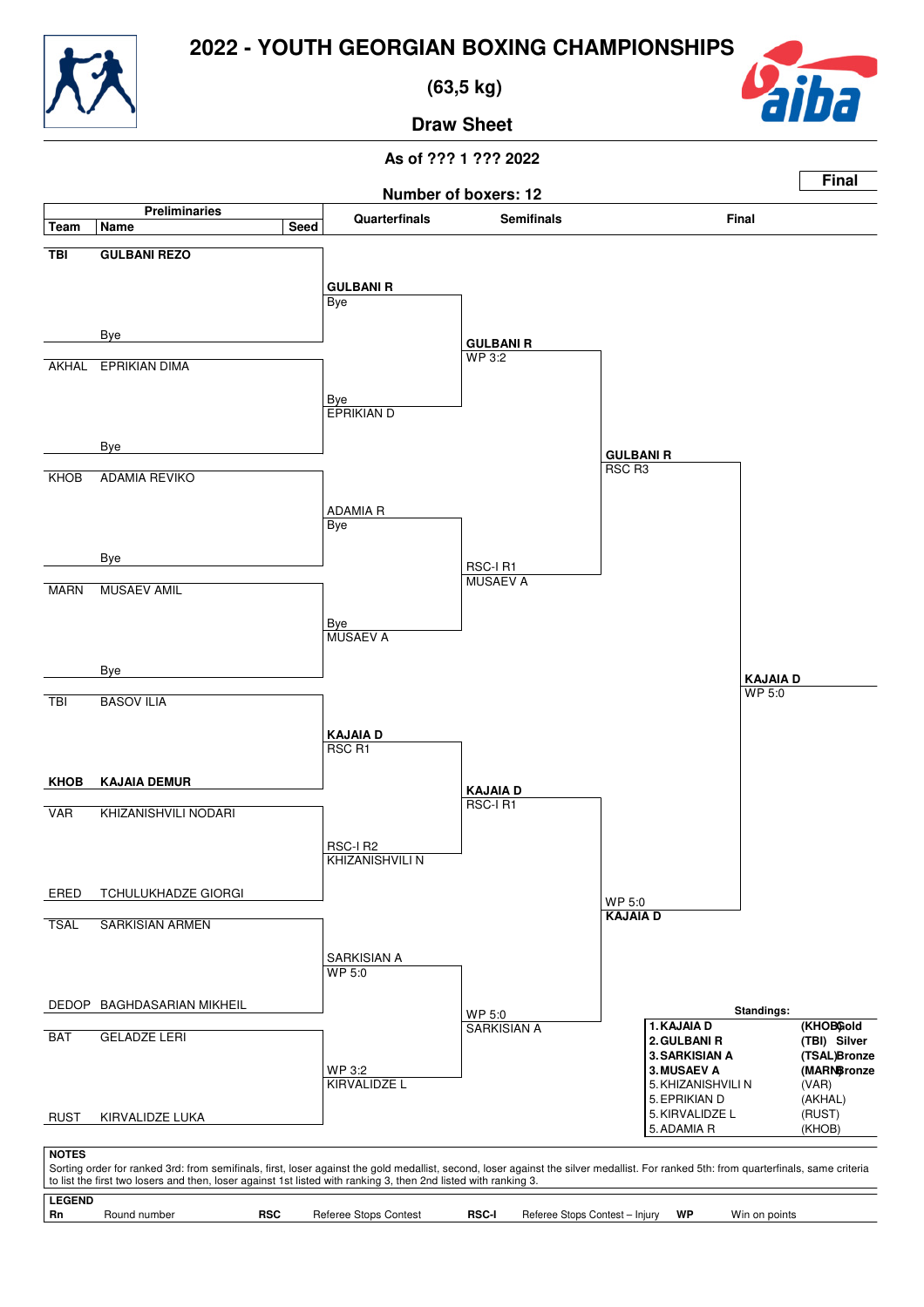

 **(63,5 kg)**



**Draw Sheet**

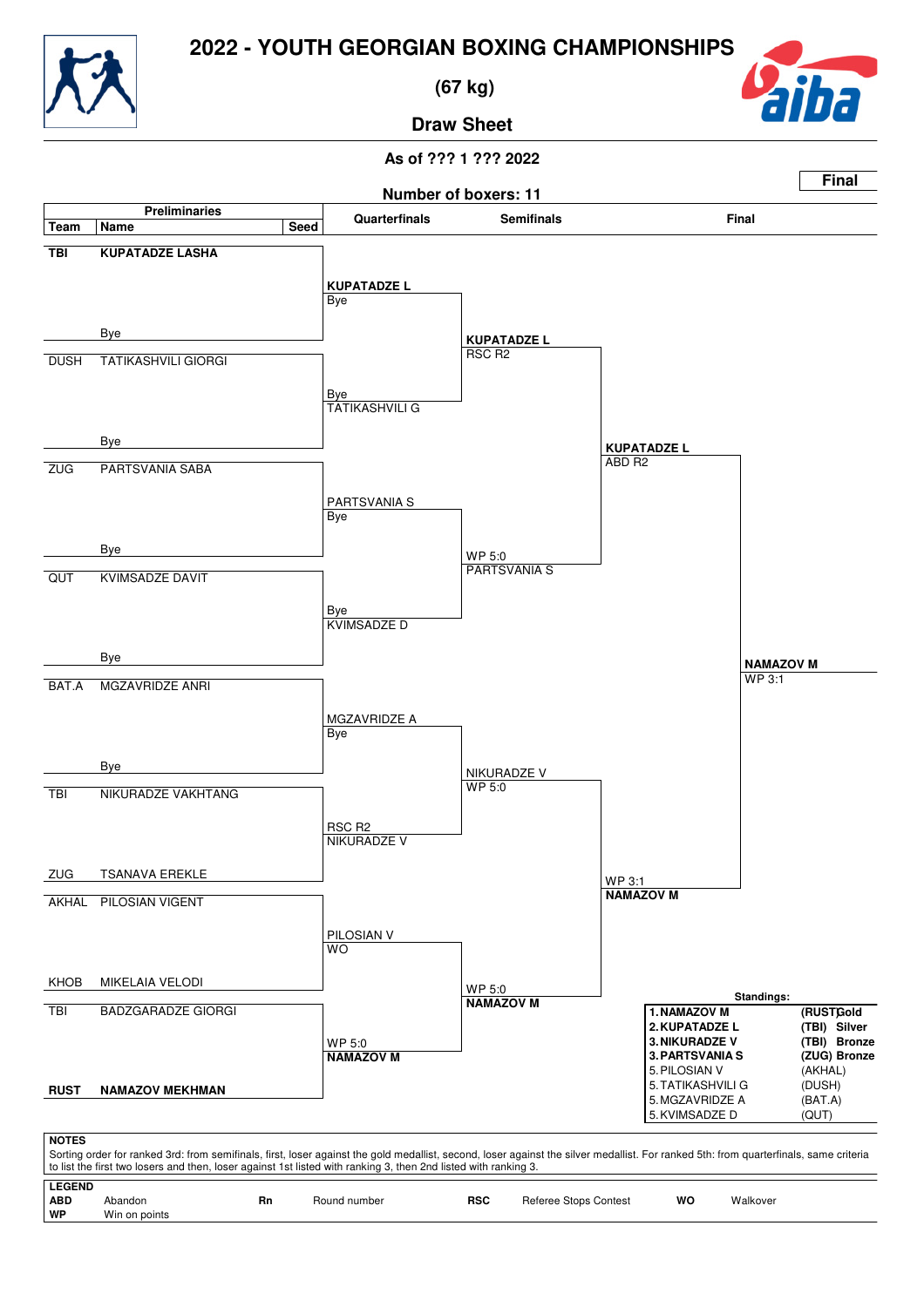

 **(67 kg)**



**Draw Sheet**

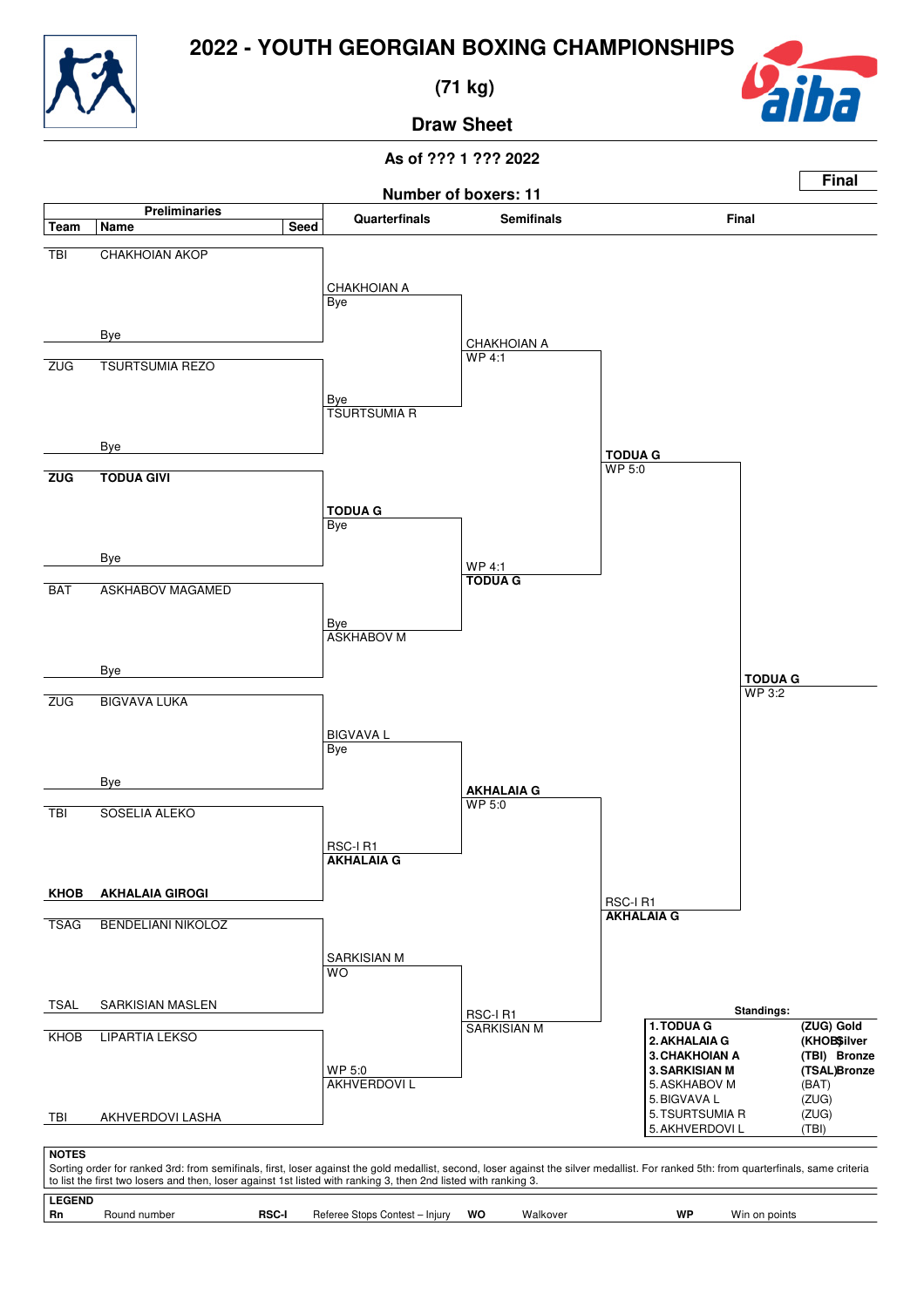

 **(71 kg)**



**Draw Sheet**

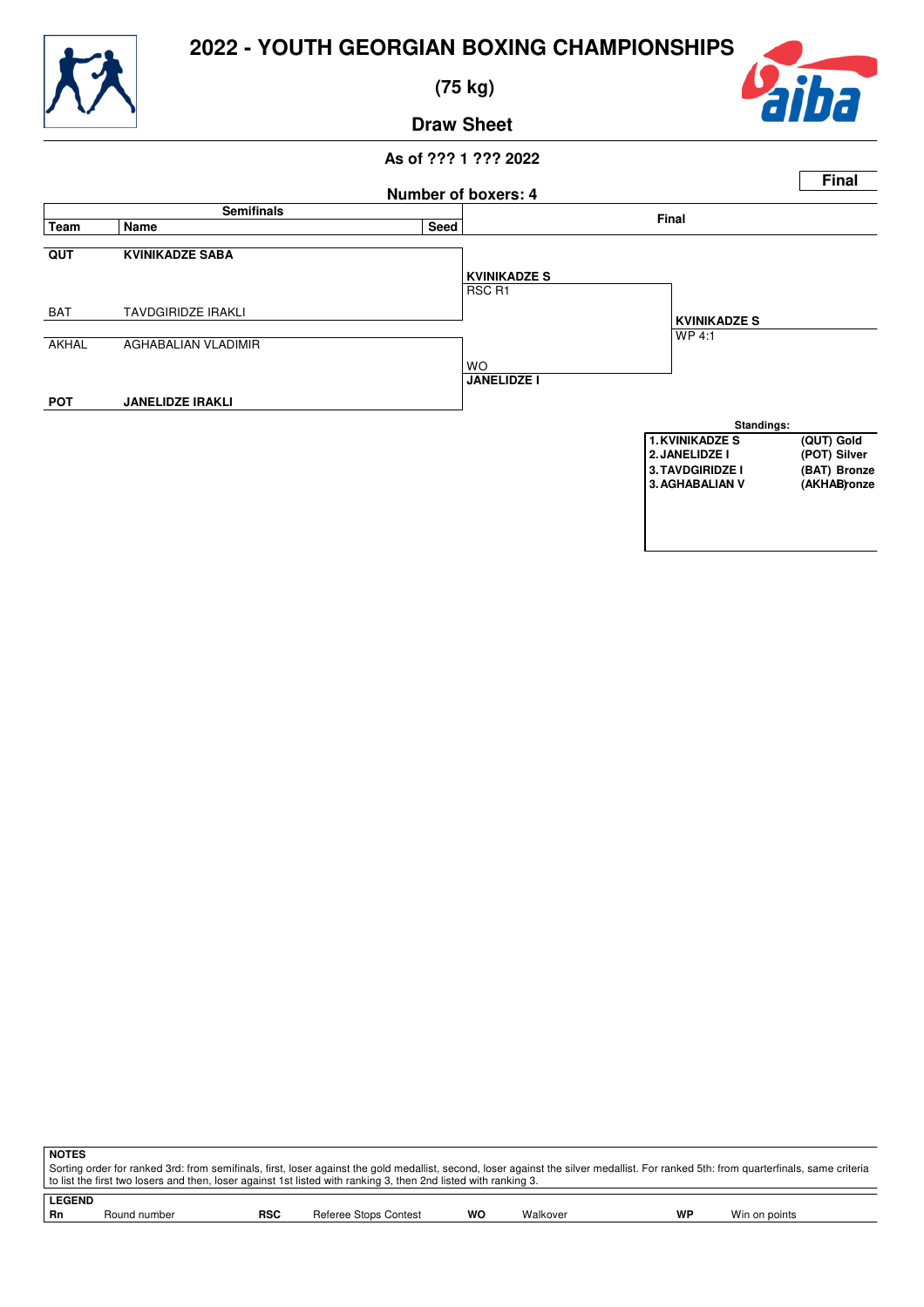

 **(75 kg)**



# **Draw Sheet**



| <b>NOTES</b>                                                                                                                                                                                                                                                                                             |
|----------------------------------------------------------------------------------------------------------------------------------------------------------------------------------------------------------------------------------------------------------------------------------------------------------|
| Sorting order for ranked 3rd: from semifinals, first, loser against the gold medallist, second, loser against the silver medallist. For ranked 5th: from quarterfinals, same criteria<br>to list the first two losers and then, loser against 1st listed with ranking 3, then 2nd listed with ranking 3. |
| <b>LEGEND</b>                                                                                                                                                                                                                                                                                            |

|  |  | Rn | ⊀our<br>numbe | <b>RSC</b> | Contest:<br>'nne<br>.ror<br>$\sim$ 10<br>ບມບວ | wc | Valkovei<br>v v | WF | Mır<br>. |
|--|--|----|---------------|------------|-----------------------------------------------|----|-----------------|----|----------|
|--|--|----|---------------|------------|-----------------------------------------------|----|-----------------|----|----------|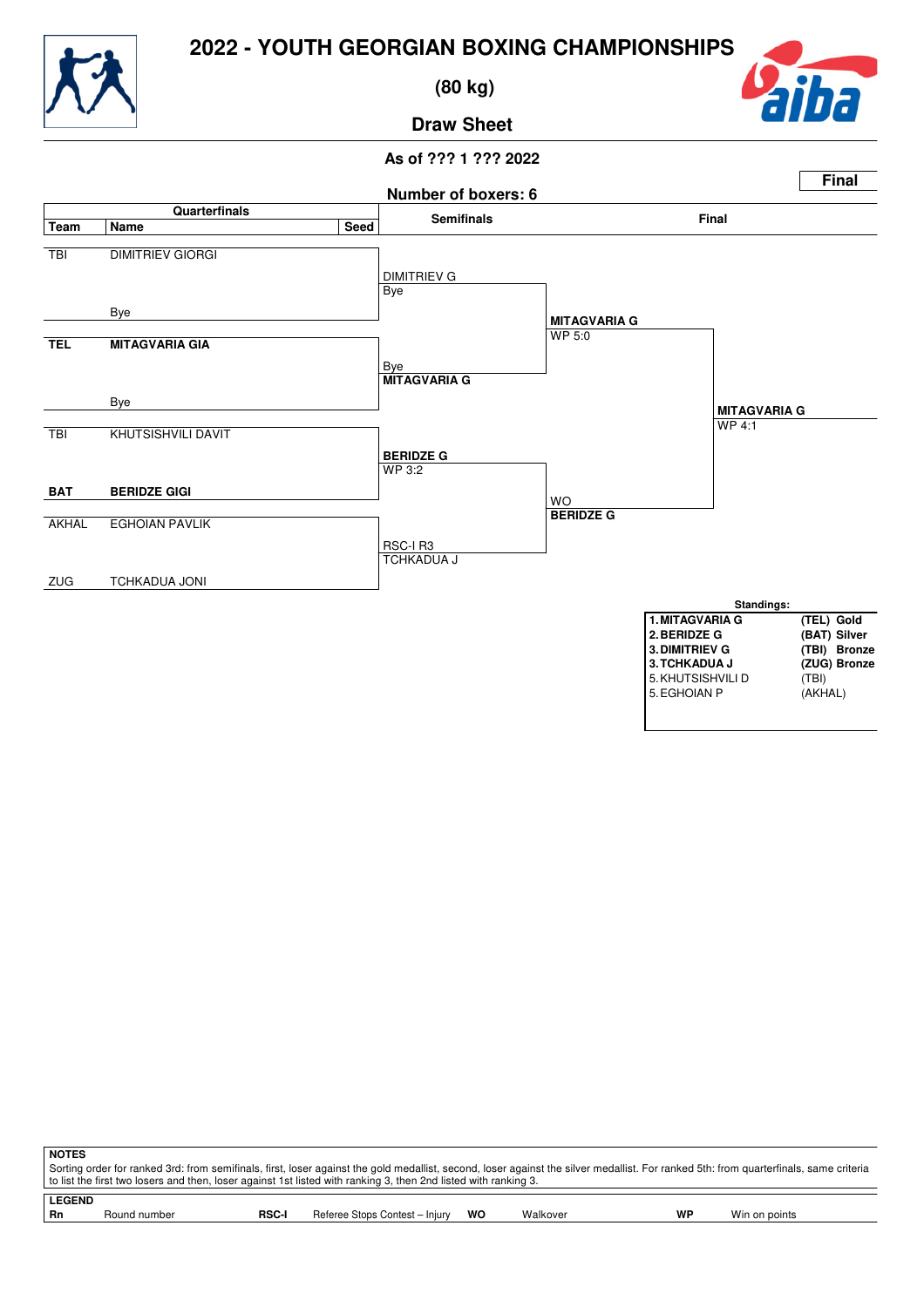

 **(80 kg)**



**Draw Sheet**

## **As of ??? 1 ??? 2022**



**NOTES** Sorting order for ranked 3rd: from semifinals, first, loser against the gold medallist, second, loser against the silver medallist. For ranked 5th: from quarterfinals, same criteria to list the first two losers and then, loser against 1st listed with ranking 3, then 2nd listed with ranking 3.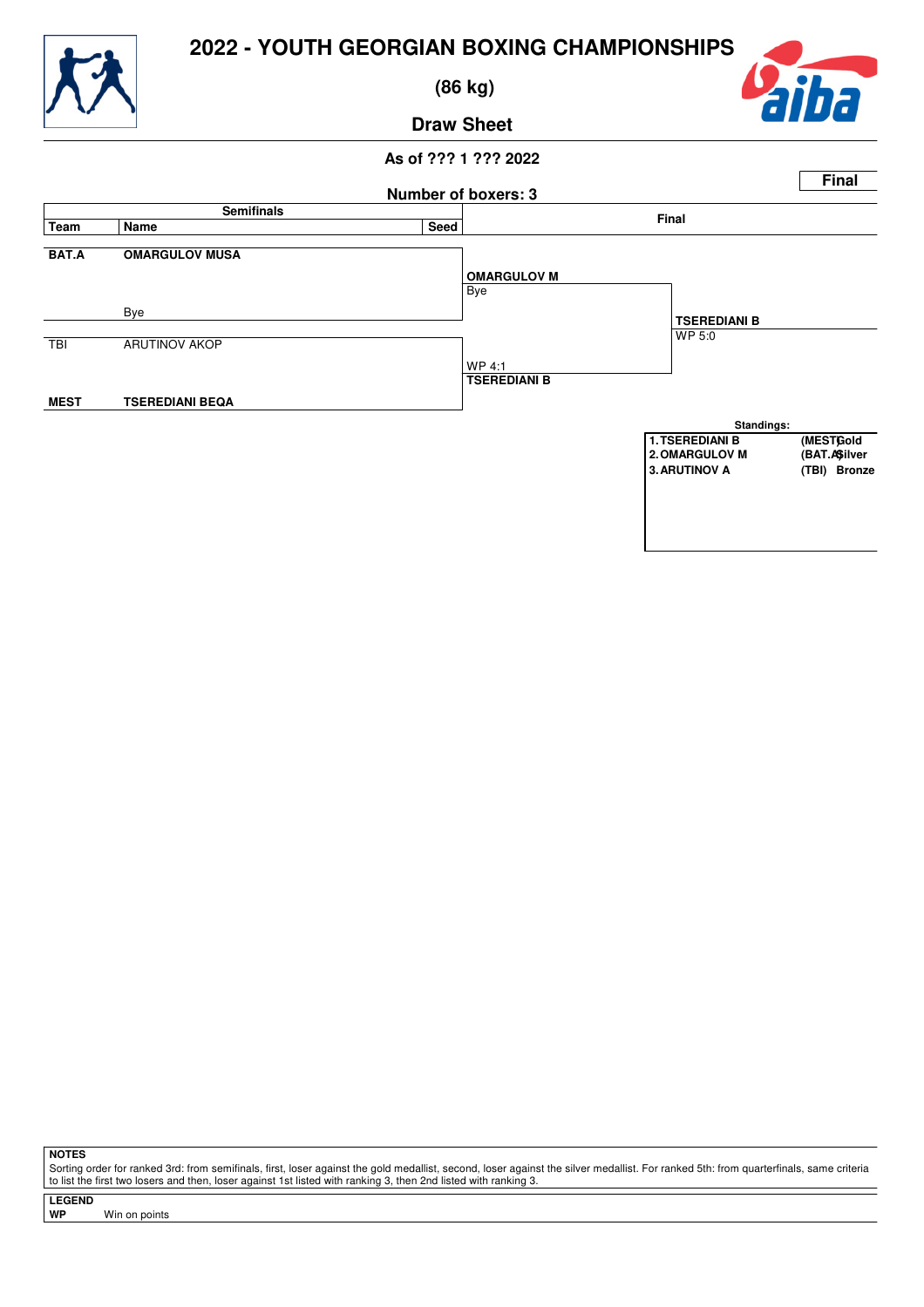

 **(86 kg)**



# **Draw Sheet**

### **As of ??? 1 ??? 2022 Number of boxers: 3 Final Semifinals Final Team Name Seed BAT.A OMARGULOV MUSA** Bye Bye TBI ARUTINOV AKOP WP 4:1 **MEST TSEREDIANI BEQA OMARGULOV M** WP 5:0 **TSEREDIANI B TSEREDIANI B Standings: 1.TSEREDIANI B** (MESTGold<br>
2.OMARGULOV M (BAT.A\$ilver **2.OMARGULOV M (BAT.A)Silver 3. ARUTINOV A**

**NOTES**

Sorting order for ranked 3rd: from semifinals, first, loser against the gold medallist, second, loser against the silver medallist. For ranked 5th: from quarterfinals, same criteria to list the first two losers and then, loser against 1st listed with ranking 3, then 2nd listed with ranking 3.

**LEGEND**

**Win on points**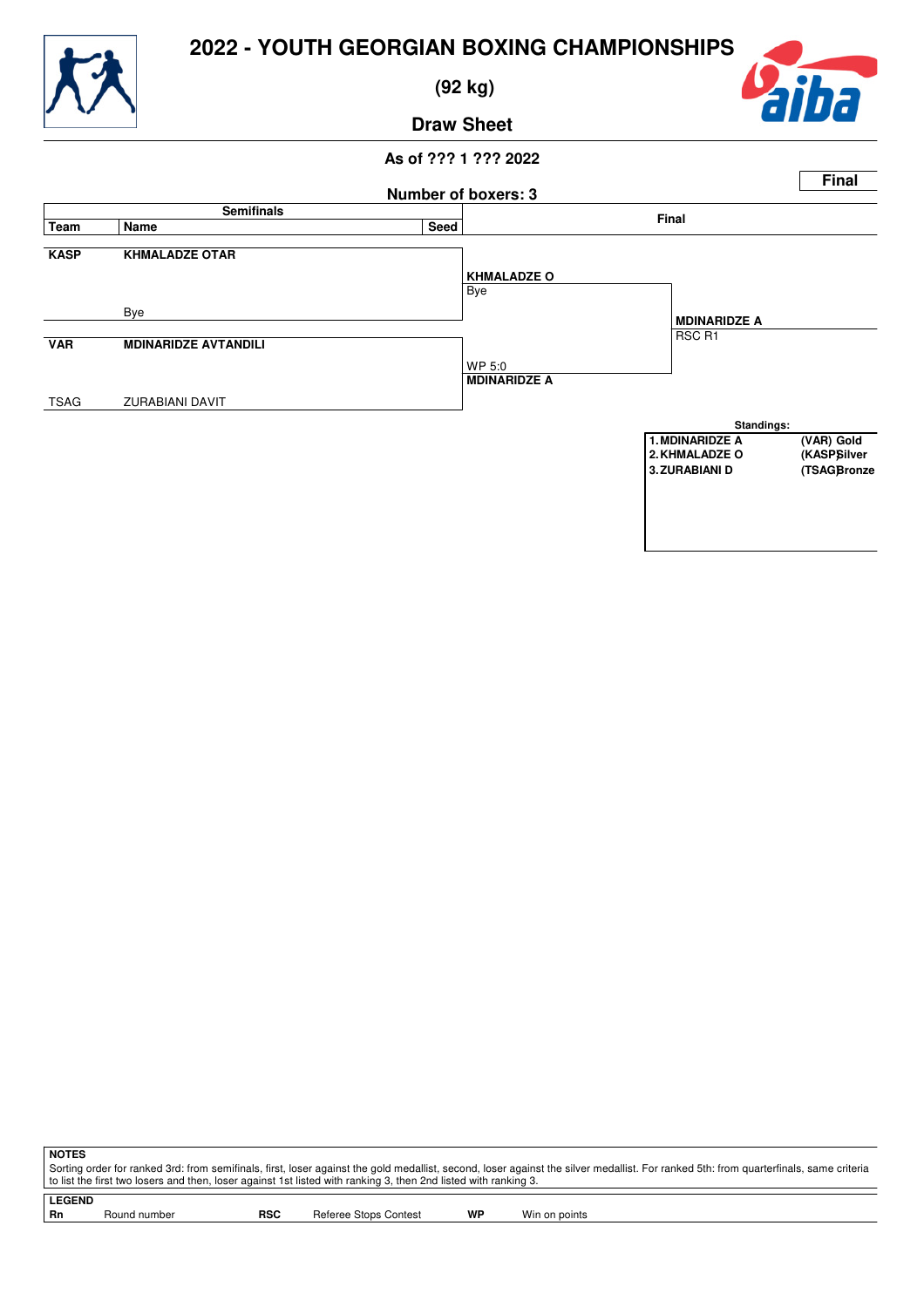

 **(92 kg)**



# **Draw Sheet**

## **As of ??? 1 ??? 2022 Number of boxers: 3 Final Semifinals Final Team Name Seed KASP KHMALADZE OTAR** Bye Bye **VAR MDINARIDZE AVTANDILI** WP 5:0 TSAG ZURABIANI DAVIT **KHMALADZE O** RSC R1 **MDINARIDZE A MDINARIDZE A Standings: 1. MDINARIDZE A** (VAR) Gold<br>
2. KHMALADZE O (KASPSilver **2.KHMALADZE O (KASP)Silver 3. ZURABIANI D**

**NOTES** Sorting order for ranked 3rd: from semifinals, first, loser against the gold medallist, second, loser against the silver medallist. For ranked 5th: from quarterfinals, same criteria to list the first two losers and then, loser against 1st listed with ranking 3, then 2nd listed with ranking 3. **LEGEND**

| Rn | Round number | RSC | <b>Referee Stops Contest</b> | WP | Win on points |
|----|--------------|-----|------------------------------|----|---------------|
|    |              |     |                              |    |               |